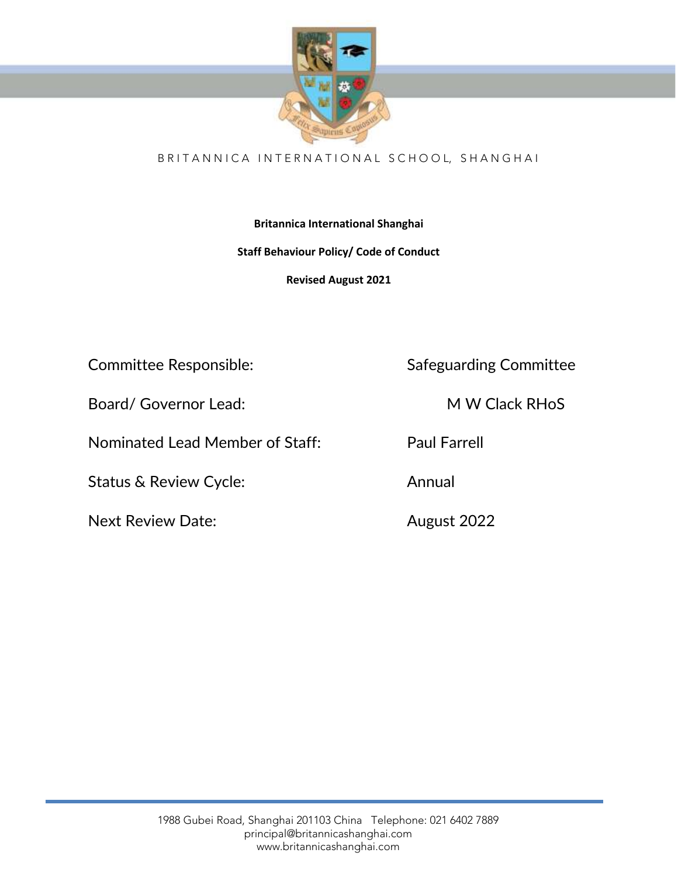

# BRITANNICA INTERNATIONAL SCHOOL, SHANGHAI

# **Britannica International Shanghai**

# **Staff Behaviour Policy/ Code of Conduct**

**Revised August 2021**

Board/ Governor Lead: M W Clack RHoS

Nominated Lead Member of Staff: Paul Farrell

Status & Review Cycle: Annual

Next Review Date: Many 2022

Committee Responsible: Safeguarding Committee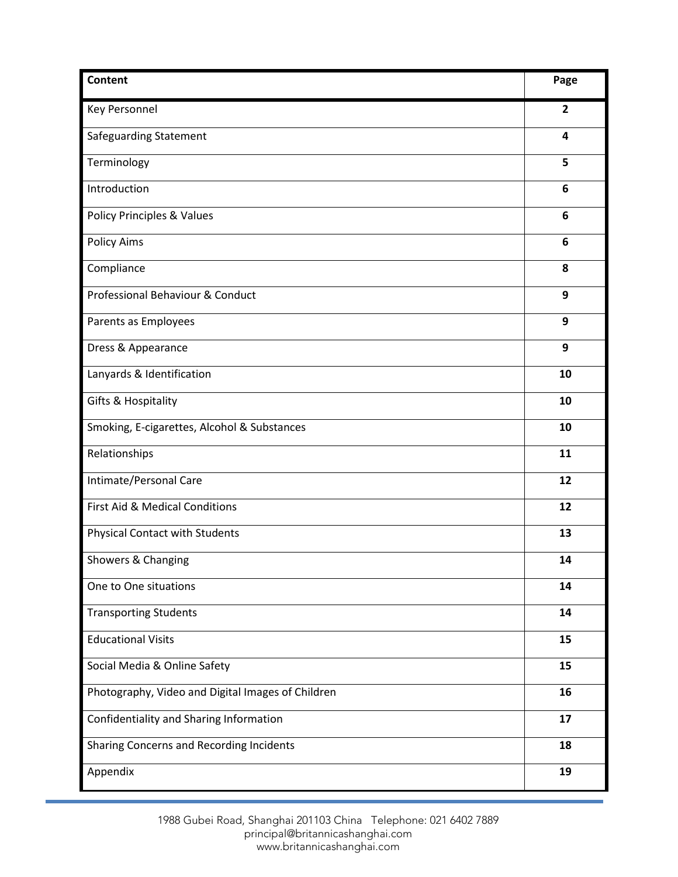| <b>Content</b>                                    | Page           |
|---------------------------------------------------|----------------|
| <b>Key Personnel</b>                              | $\overline{2}$ |
| Safeguarding Statement                            | 4              |
| Terminology                                       | 5              |
| Introduction                                      | 6              |
| <b>Policy Principles &amp; Values</b>             | 6              |
| <b>Policy Aims</b>                                | 6              |
| Compliance                                        | 8              |
| Professional Behaviour & Conduct                  | 9              |
| Parents as Employees                              | 9              |
| Dress & Appearance                                | 9              |
| Lanyards & Identification                         | 10             |
| Gifts & Hospitality                               | 10             |
| Smoking, E-cigarettes, Alcohol & Substances       | 10             |
| Relationships                                     | 11             |
| Intimate/Personal Care                            | 12             |
| First Aid & Medical Conditions                    | 12             |
| <b>Physical Contact with Students</b>             | 13             |
| Showers & Changing                                | 14             |
| One to One situations                             | 14             |
| <b>Transporting Students</b>                      | 14             |
| <b>Educational Visits</b>                         | 15             |
| Social Media & Online Safety                      | 15             |
| Photography, Video and Digital Images of Children | 16             |
| Confidentiality and Sharing Information           | 17             |
| Sharing Concerns and Recording Incidents          | 18             |
| Appendix                                          | 19             |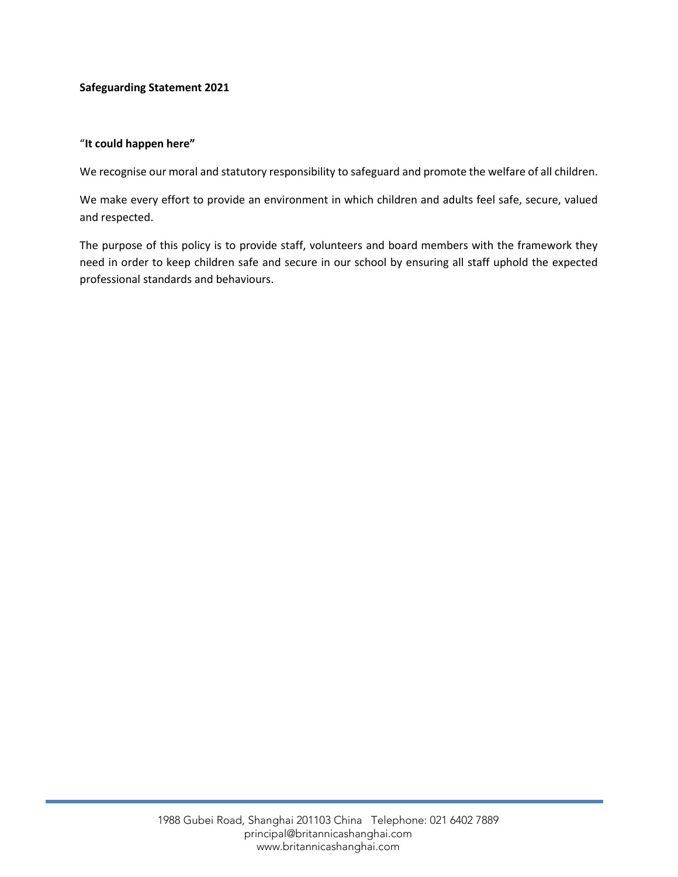### **Safeguarding Statement 2021**

#### "**It could happen here"**

We recognise our moral and statutory responsibility to safeguard and promote the welfare of all children.

We make every effort to provide an environment in which children and adults feel safe, secure, valued and respected.

The purpose of this policy is to provide staff, volunteers and board members with the framework they need in order to keep children safe and secure in our school by ensuring all staff uphold the expected professional standards and behaviours.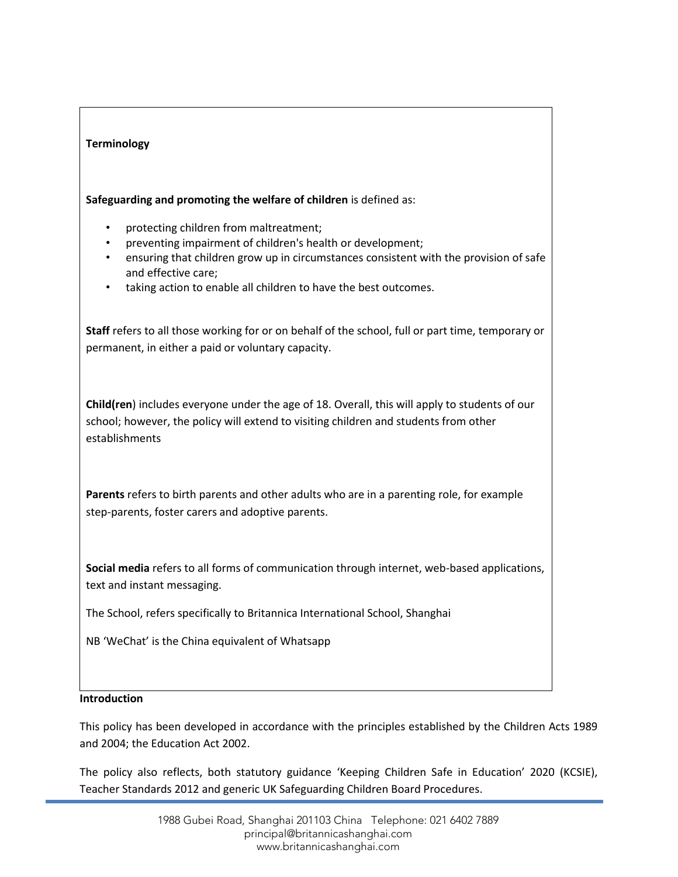### **Terminology**

**Safeguarding and promoting the welfare of children** is defined as:

- protecting children from maltreatment;
- preventing impairment of children's health or development;
- ensuring that children grow up in circumstances consistent with the provision of safe and effective care;
- taking action to enable all children to have the best outcomes.

**Staff** refers to all those working for or on behalf of the school, full or part time, temporary or permanent, in either a paid or voluntary capacity.

**Child(ren**) includes everyone under the age of 18. Overall, this will apply to students of our school; however, the policy will extend to visiting children and students from other establishments

**Parents** refers to birth parents and other adults who are in a parenting role, for example step-parents, foster carers and adoptive parents.

**Social media** refers to all forms of communication through internet, web-based applications, text and instant messaging.

The School, refers specifically to Britannica International School, Shanghai

NB 'WeChat' is the China equivalent of Whatsapp

#### **Introduction**

This policy has been developed in accordance with the principles established by the Children Acts 1989 and 2004; the Education Act 2002.

The policy also reflects, both statutory guidance 'Keeping Children Safe in Education' 2020 (KCSIE), Teacher Standards 2012 and generic UK Safeguarding Children Board Procedures.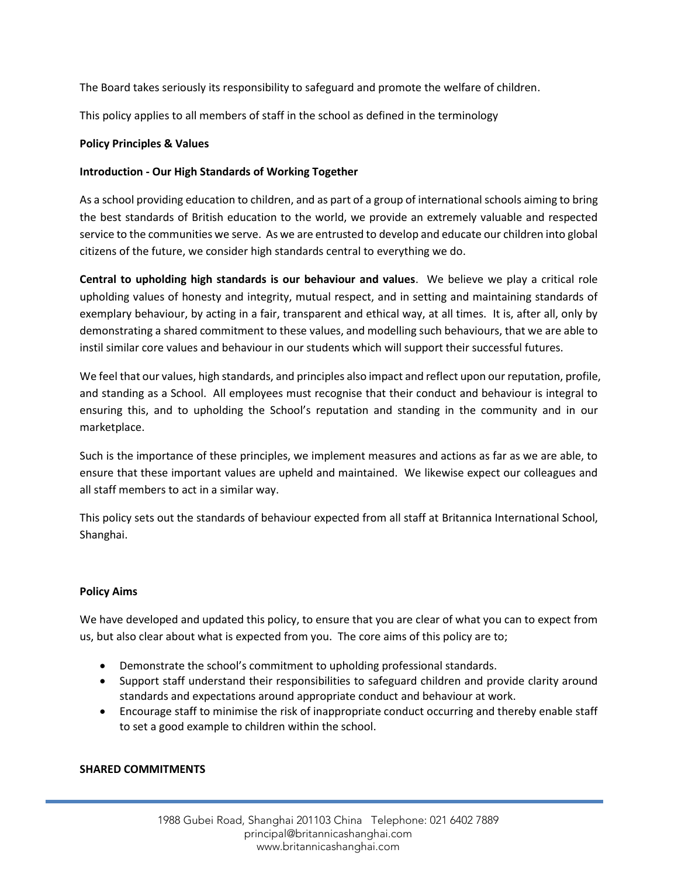The Board takes seriously its responsibility to safeguard and promote the welfare of children.

This policy applies to all members of staff in the school as defined in the terminology

### **Policy Principles & Values**

### **Introduction - Our High Standards of Working Together**

As a school providing education to children, and as part of a group of international schools aiming to bring the best standards of British education to the world, we provide an extremely valuable and respected service to the communities we serve. As we are entrusted to develop and educate our children into global citizens of the future, we consider high standards central to everything we do.

**Central to upholding high standards is our behaviour and values**. We believe we play a critical role upholding values of honesty and integrity, mutual respect, and in setting and maintaining standards of exemplary behaviour, by acting in a fair, transparent and ethical way, at all times. It is, after all, only by demonstrating a shared commitment to these values, and modelling such behaviours, that we are able to instil similar core values and behaviour in our students which will support their successful futures.

We feel that our values, high standards, and principles also impact and reflect upon our reputation, profile, and standing as a School. All employees must recognise that their conduct and behaviour is integral to ensuring this, and to upholding the School's reputation and standing in the community and in our marketplace.

Such is the importance of these principles, we implement measures and actions as far as we are able, to ensure that these important values are upheld and maintained. We likewise expect our colleagues and all staff members to act in a similar way.

This policy sets out the standards of behaviour expected from all staff at Britannica International School, Shanghai.

## **Policy Aims**

We have developed and updated this policy, to ensure that you are clear of what you can to expect from us, but also clear about what is expected from you. The core aims of this policy are to;

- Demonstrate the school's commitment to upholding professional standards.
- Support staff understand their responsibilities to safeguard children and provide clarity around standards and expectations around appropriate conduct and behaviour at work.
- Encourage staff to minimise the risk of inappropriate conduct occurring and thereby enable staff to set a good example to children within the school.

#### **SHARED COMMITMENTS**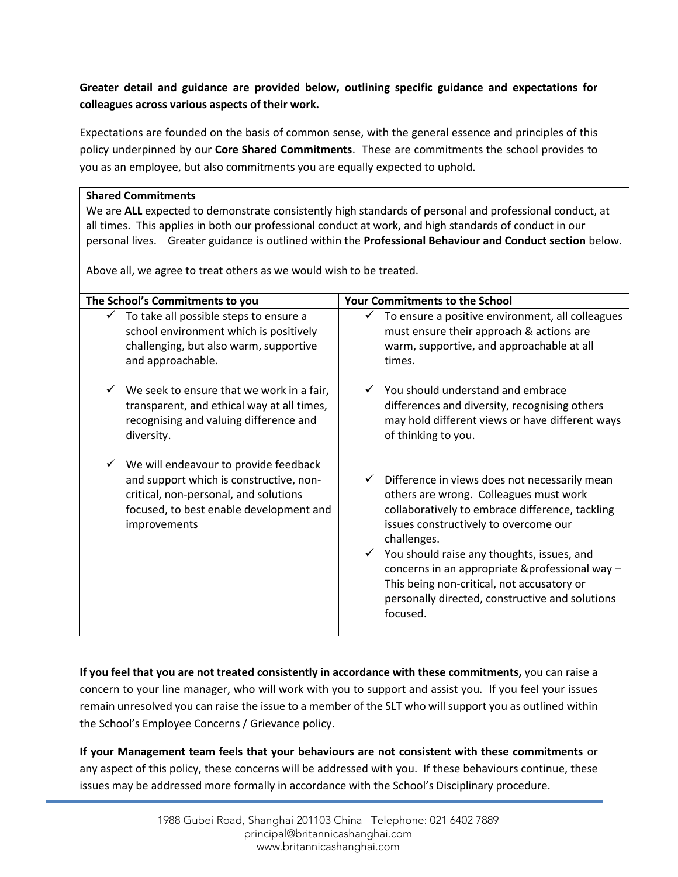# **Greater detail and guidance are provided below, outlining specific guidance and expectations for colleagues across various aspects of their work.**

Expectations are founded on the basis of common sense, with the general essence and principles of this policy underpinned by our **Core Shared Commitments**. These are commitments the school provides to you as an employee, but also commitments you are equally expected to uphold.

## **Shared Commitments**

We are **ALL** expected to demonstrate consistently high standards of personal and professional conduct, at all times. This applies in both our professional conduct at work, and high standards of conduct in our personal lives. Greater guidance is outlined within the **Professional Behaviour and Conduct section** below.

Above all, we agree to treat others as we would wish to be treated.

| The School's Commitments to you<br><b>Your Commitments to the School</b>                                                                                                             |                                                                                                                                                                                                                                                                                                                                                                                                                                                 |
|--------------------------------------------------------------------------------------------------------------------------------------------------------------------------------------|-------------------------------------------------------------------------------------------------------------------------------------------------------------------------------------------------------------------------------------------------------------------------------------------------------------------------------------------------------------------------------------------------------------------------------------------------|
| To take all possible steps to ensure a                                                                                                                                               | To ensure a positive environment, all colleagues                                                                                                                                                                                                                                                                                                                                                                                                |
| school environment which is positively                                                                                                                                               | must ensure their approach & actions are                                                                                                                                                                                                                                                                                                                                                                                                        |
| challenging, but also warm, supportive                                                                                                                                               | warm, supportive, and approachable at all                                                                                                                                                                                                                                                                                                                                                                                                       |
| and approachable.                                                                                                                                                                    | times.                                                                                                                                                                                                                                                                                                                                                                                                                                          |
| We seek to ensure that we work in a fair,                                                                                                                                            | You should understand and embrace                                                                                                                                                                                                                                                                                                                                                                                                               |
| transparent, and ethical way at all times,                                                                                                                                           | differences and diversity, recognising others                                                                                                                                                                                                                                                                                                                                                                                                   |
| recognising and valuing difference and                                                                                                                                               | may hold different views or have different ways                                                                                                                                                                                                                                                                                                                                                                                                 |
| diversity.                                                                                                                                                                           | of thinking to you.                                                                                                                                                                                                                                                                                                                                                                                                                             |
| We will endeavour to provide feedback<br>and support which is constructive, non-<br>critical, non-personal, and solutions<br>focused, to best enable development and<br>improvements | Difference in views does not necessarily mean<br>$\checkmark$<br>others are wrong. Colleagues must work<br>collaboratively to embrace difference, tackling<br>issues constructively to overcome our<br>challenges.<br>You should raise any thoughts, issues, and<br>$\checkmark$<br>concerns in an appropriate &professional way -<br>This being non-critical, not accusatory or<br>personally directed, constructive and solutions<br>focused. |

**If you feel that you are not treated consistently in accordance with these commitments,** you can raise a concern to your line manager, who will work with you to support and assist you. If you feel your issues remain unresolved you can raise the issue to a member of the SLT who will support you as outlined within the School's Employee Concerns / Grievance policy.

**If your Management team feels that your behaviours are not consistent with these commitments** or any aspect of this policy, these concerns will be addressed with you. If these behaviours continue, these issues may be addressed more formally in accordance with the School's Disciplinary procedure.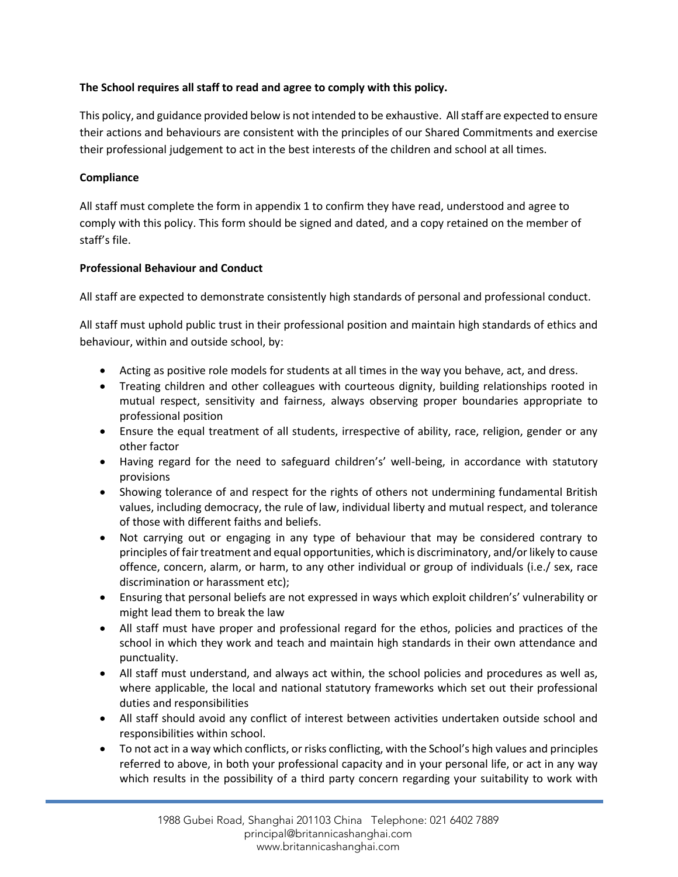## **The School requires all staff to read and agree to comply with this policy.**

This policy, and guidance provided below is not intended to be exhaustive. All staff are expected to ensure their actions and behaviours are consistent with the principles of our Shared Commitments and exercise their professional judgement to act in the best interests of the children and school at all times.

## **Compliance**

All staff must complete the form in appendix 1 to confirm they have read, understood and agree to comply with this policy. This form should be signed and dated, and a copy retained on the member of staff's file.

## **Professional Behaviour and Conduct**

All staff are expected to demonstrate consistently high standards of personal and professional conduct.

All staff must uphold public trust in their professional position and maintain high standards of ethics and behaviour, within and outside school, by:

- Acting as positive role models for students at all times in the way you behave, act, and dress.
- Treating children and other colleagues with courteous dignity, building relationships rooted in mutual respect, sensitivity and fairness, always observing proper boundaries appropriate to professional position
- Ensure the equal treatment of all students, irrespective of ability, race, religion, gender or any other factor
- Having regard for the need to safeguard children's' well-being, in accordance with statutory provisions
- Showing tolerance of and respect for the rights of others not undermining fundamental British values, including democracy, the rule of law, individual liberty and mutual respect, and tolerance of those with different faiths and beliefs.
- Not carrying out or engaging in any type of behaviour that may be considered contrary to principles of fair treatment and equal opportunities, which is discriminatory, and/or likely to cause offence, concern, alarm, or harm, to any other individual or group of individuals (i.e./ sex, race discrimination or harassment etc);
- Ensuring that personal beliefs are not expressed in ways which exploit children's' vulnerability or might lead them to break the law
- All staff must have proper and professional regard for the ethos, policies and practices of the school in which they work and teach and maintain high standards in their own attendance and punctuality.
- All staff must understand, and always act within, the school policies and procedures as well as, where applicable, the local and national statutory frameworks which set out their professional duties and responsibilities
- All staff should avoid any conflict of interest between activities undertaken outside school and responsibilities within school.
- To not act in a way which conflicts, or risks conflicting, with the School's high values and principles referred to above, in both your professional capacity and in your personal life, or act in any way which results in the possibility of a third party concern regarding your suitability to work with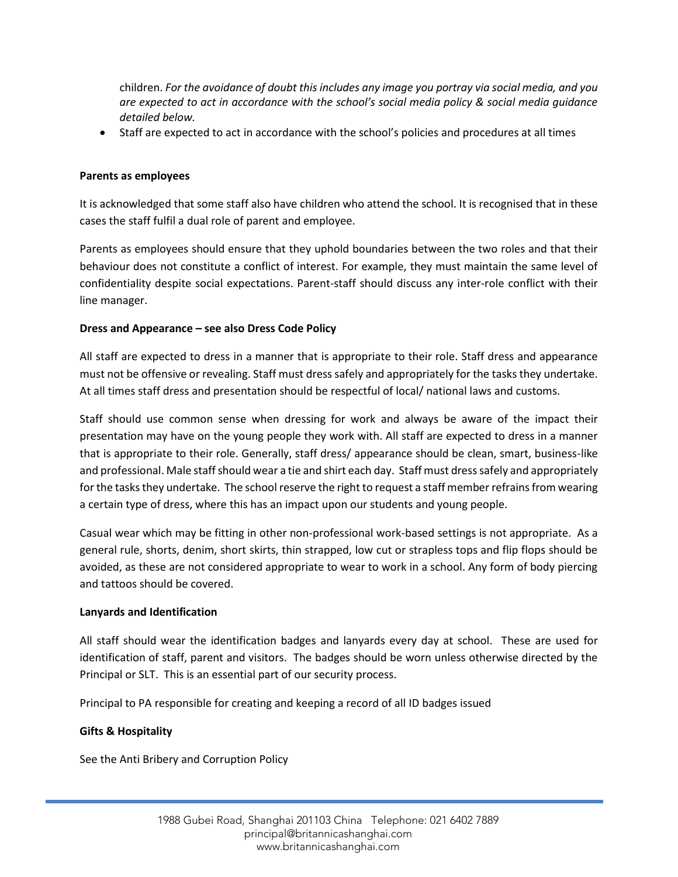children. *For the avoidance of doubt this includes any image you portray via social media, and you are expected to act in accordance with the school's social media policy & social media guidance detailed below.*

• Staff are expected to act in accordance with the school's policies and procedures at all times

## **Parents as employees**

It is acknowledged that some staff also have children who attend the school. It is recognised that in these cases the staff fulfil a dual role of parent and employee.

Parents as employees should ensure that they uphold boundaries between the two roles and that their behaviour does not constitute a conflict of interest. For example, they must maintain the same level of confidentiality despite social expectations. Parent-staff should discuss any inter-role conflict with their line manager.

## **Dress and Appearance – see also Dress Code Policy**

All staff are expected to dress in a manner that is appropriate to their role. Staff dress and appearance must not be offensive or revealing. Staff must dress safely and appropriately for the tasks they undertake. At all times staff dress and presentation should be respectful of local/ national laws and customs.

Staff should use common sense when dressing for work and always be aware of the impact their presentation may have on the young people they work with. All staff are expected to dress in a manner that is appropriate to their role. Generally, staff dress/ appearance should be clean, smart, business-like and professional. Male staff should wear a tie and shirt each day. Staff must dress safely and appropriately for the tasks they undertake. The school reserve the right to request a staff member refrains from wearing a certain type of dress, where this has an impact upon our students and young people.

Casual wear which may be fitting in other non-professional work-based settings is not appropriate. As a general rule, shorts, denim, short skirts, thin strapped, low cut or strapless tops and flip flops should be avoided, as these are not considered appropriate to wear to work in a school. Any form of body piercing and tattoos should be covered.

#### **Lanyards and Identification**

All staff should wear the identification badges and lanyards every day at school. These are used for identification of staff, parent and visitors. The badges should be worn unless otherwise directed by the Principal or SLT. This is an essential part of our security process.

Principal to PA responsible for creating and keeping a record of all ID badges issued

## **Gifts & Hospitality**

See the Anti Bribery and Corruption Policy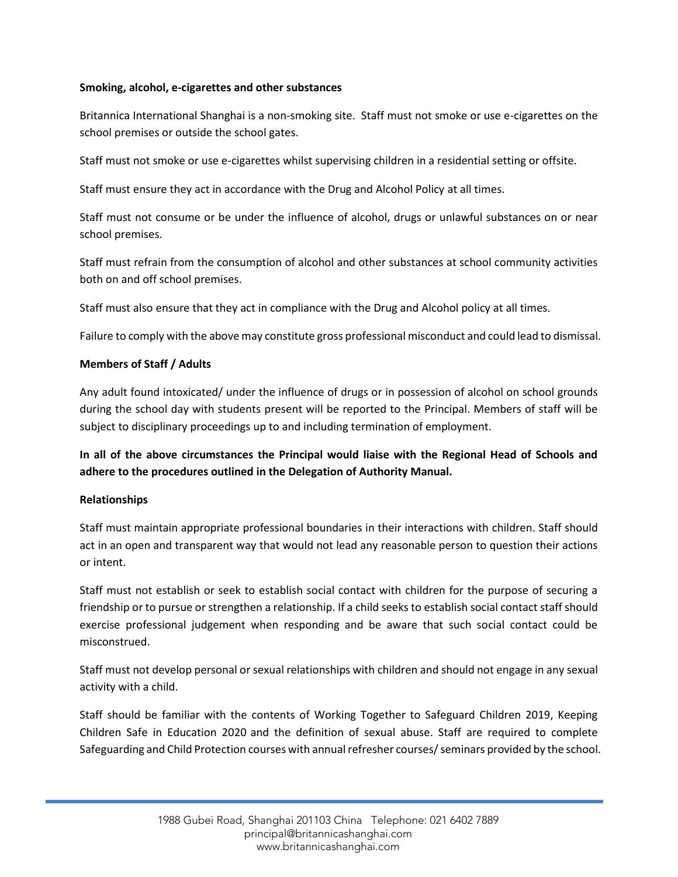### **Smoking, alcohol, e-cigarettes and other substances**

Britannica International Shanghai is a non-smoking site. Staff must not smoke or use e-cigarettes on the school premises or outside the school gates.

Staff must not smoke or use e-cigarettes whilst supervising children in a residential setting or offsite.

Staff must ensure they act in accordance with the Drug and Alcohol Policy at all times.

Staff must not consume or be under the influence of alcohol, drugs or unlawful substances on or near school premises.

Staff must refrain from the consumption of alcohol and other substances at school community activities both on and off school premises.

Staff must also ensure that they act in compliance with the Drug and Alcohol policy at all times.

Failure to comply with the above may constitute gross professional misconduct and could lead to dismissal.

### **Members of Staff / Adults**

Any adult found intoxicated/ under the influence of drugs or in possession of alcohol on school grounds during the school day with students present will be reported to the Principal. Members of staff will be subject to disciplinary proceedings up to and including termination of employment.

# **In all of the above circumstances the Principal would liaise with the Regional Head of Schools and adhere to the procedures outlined in the Delegation of Authority Manual.**

#### **Relationships**

Staff must maintain appropriate professional boundaries in their interactions with children. Staff should act in an open and transparent way that would not lead any reasonable person to question their actions or intent.

Staff must not establish or seek to establish social contact with children for the purpose of securing a friendship or to pursue or strengthen a relationship. If a child seeks to establish social contact staff should exercise professional judgement when responding and be aware that such social contact could be misconstrued.

Staff must not develop personal or sexual relationships with children and should not engage in any sexual activity with a child.

Staff should be familiar with the contents of Working Together to Safeguard Children 2019, Keeping Children Safe in Education 2020 and the definition of sexual abuse. Staff are required to complete Safeguarding and Child Protection courses with annual refresher courses/ seminars provided by the school.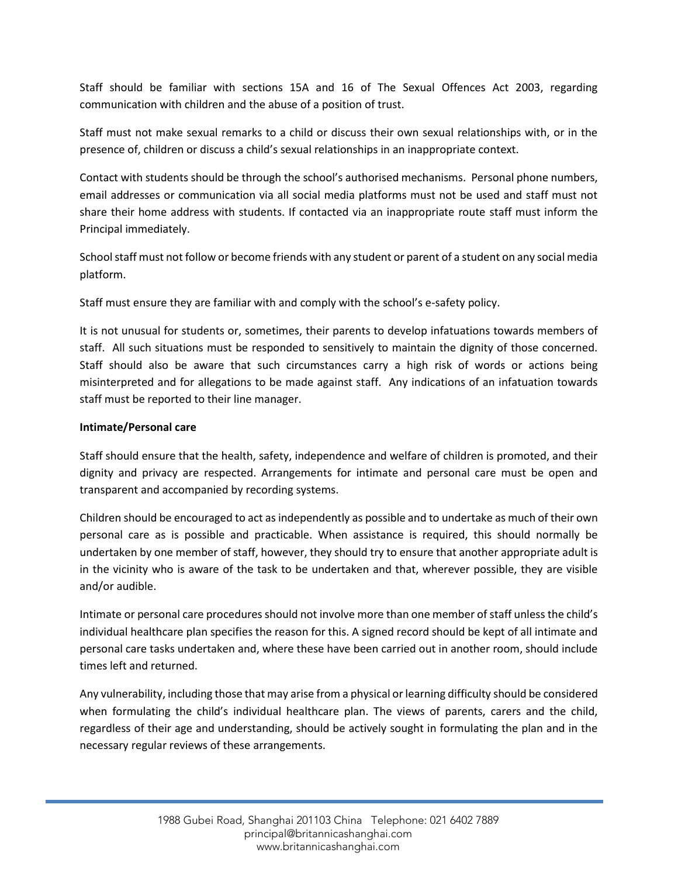Staff should be familiar with sections 15A and 16 of The Sexual Offences Act 2003, regarding communication with children and the abuse of a position of trust.

Staff must not make sexual remarks to a child or discuss their own sexual relationships with, or in the presence of, children or discuss a child's sexual relationships in an inappropriate context.

Contact with students should be through the school's authorised mechanisms. Personal phone numbers, email addresses or communication via all social media platforms must not be used and staff must not share their home address with students. If contacted via an inappropriate route staff must inform the Principal immediately.

School staff must not follow or become friends with any student or parent of a student on any social media platform.

Staff must ensure they are familiar with and comply with the school's e-safety policy.

It is not unusual for students or, sometimes, their parents to develop infatuations towards members of staff. All such situations must be responded to sensitively to maintain the dignity of those concerned. Staff should also be aware that such circumstances carry a high risk of words or actions being misinterpreted and for allegations to be made against staff. Any indications of an infatuation towards staff must be reported to their line manager.

## **Intimate/Personal care**

Staff should ensure that the health, safety, independence and welfare of children is promoted, and their dignity and privacy are respected. Arrangements for intimate and personal care must be open and transparent and accompanied by recording systems.

Children should be encouraged to act as independently as possible and to undertake as much of their own personal care as is possible and practicable. When assistance is required, this should normally be undertaken by one member of staff, however, they should try to ensure that another appropriate adult is in the vicinity who is aware of the task to be undertaken and that, wherever possible, they are visible and/or audible.

Intimate or personal care procedures should not involve more than one member of staff unless the child's individual healthcare plan specifies the reason for this. A signed record should be kept of all intimate and personal care tasks undertaken and, where these have been carried out in another room, should include times left and returned.

Any vulnerability, including those that may arise from a physical or learning difficulty should be considered when formulating the child's individual healthcare plan. The views of parents, carers and the child, regardless of their age and understanding, should be actively sought in formulating the plan and in the necessary regular reviews of these arrangements.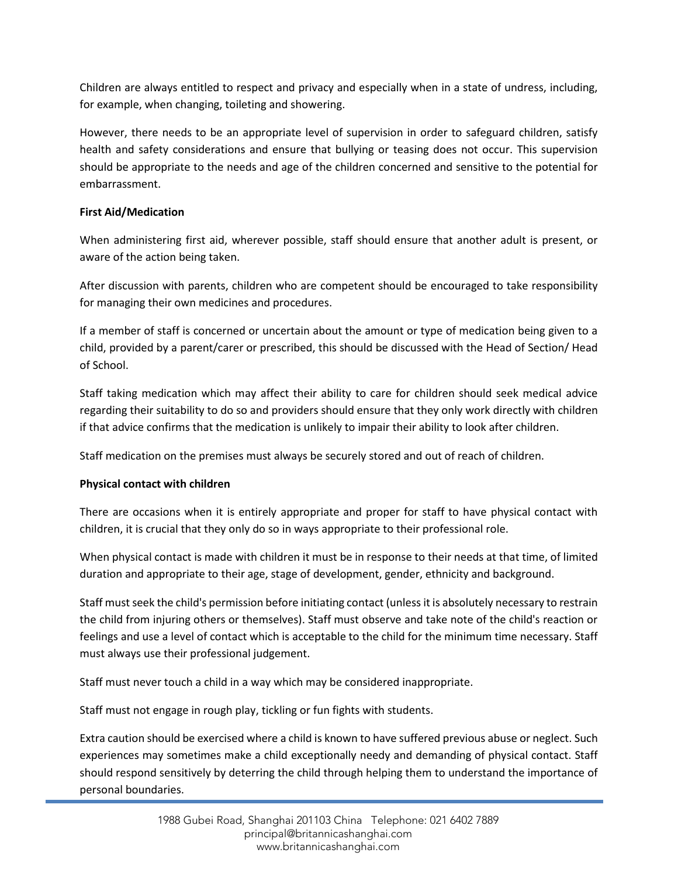Children are always entitled to respect and privacy and especially when in a state of undress, including, for example, when changing, toileting and showering.

However, there needs to be an appropriate level of supervision in order to safeguard children, satisfy health and safety considerations and ensure that bullying or teasing does not occur. This supervision should be appropriate to the needs and age of the children concerned and sensitive to the potential for embarrassment.

## **First Aid/Medication**

When administering first aid, wherever possible, staff should ensure that another adult is present, or aware of the action being taken.

After discussion with parents, children who are competent should be encouraged to take responsibility for managing their own medicines and procedures.

If a member of staff is concerned or uncertain about the amount or type of medication being given to a child, provided by a parent/carer or prescribed, this should be discussed with the Head of Section/ Head of School.

Staff taking medication which may affect their ability to care for children should seek medical advice regarding their suitability to do so and providers should ensure that they only work directly with children if that advice confirms that the medication is unlikely to impair their ability to look after children.

Staff medication on the premises must always be securely stored and out of reach of children.

# **Physical contact with children**

There are occasions when it is entirely appropriate and proper for staff to have physical contact with children, it is crucial that they only do so in ways appropriate to their professional role.

When physical contact is made with children it must be in response to their needs at that time, of limited duration and appropriate to their age, stage of development, gender, ethnicity and background.

Staff must seek the child's permission before initiating contact (unless it is absolutely necessary to restrain the child from injuring others or themselves). Staff must observe and take note of the child's reaction or feelings and use a level of contact which is acceptable to the child for the minimum time necessary. Staff must always use their professional judgement.

Staff must never touch a child in a way which may be considered inappropriate.

Staff must not engage in rough play, tickling or fun fights with students.

Extra caution should be exercised where a child is known to have suffered previous abuse or neglect. Such experiences may sometimes make a child exceptionally needy and demanding of physical contact. Staff should respond sensitively by deterring the child through helping them to understand the importance of personal boundaries.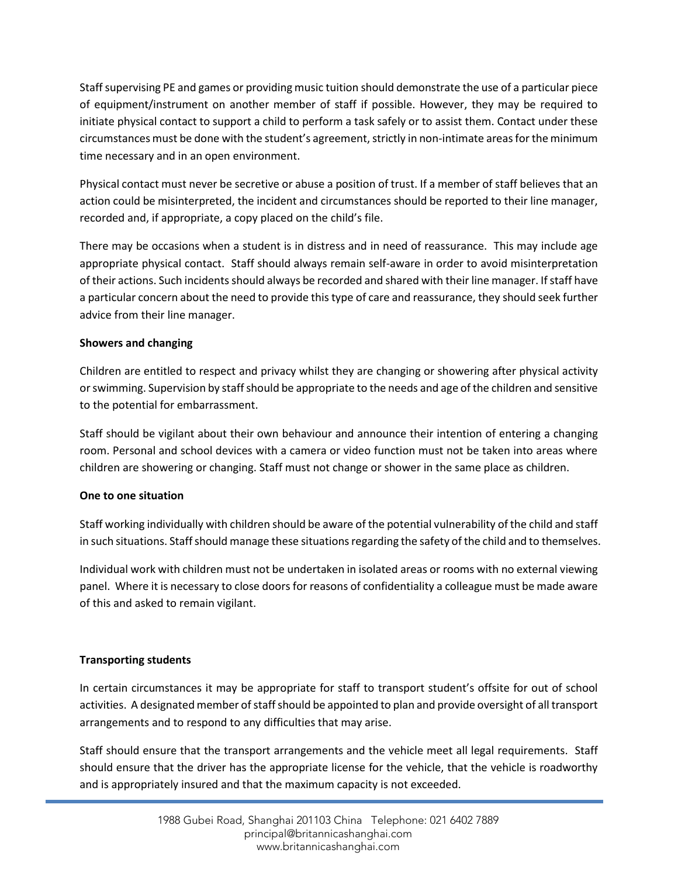Staff supervising PE and games or providing music tuition should demonstrate the use of a particular piece of equipment/instrument on another member of staff if possible. However, they may be required to initiate physical contact to support a child to perform a task safely or to assist them. Contact under these circumstances must be done with the student's agreement, strictly in non-intimate areas for the minimum time necessary and in an open environment.

Physical contact must never be secretive or abuse a position of trust. If a member of staff believes that an action could be misinterpreted, the incident and circumstances should be reported to their line manager, recorded and, if appropriate, a copy placed on the child's file.

There may be occasions when a student is in distress and in need of reassurance. This may include age appropriate physical contact. Staff should always remain self-aware in order to avoid misinterpretation of their actions. Such incidents should always be recorded and shared with their line manager. If staff have a particular concern about the need to provide this type of care and reassurance, they should seek further advice from their line manager.

## **Showers and changing**

Children are entitled to respect and privacy whilst they are changing or showering after physical activity or swimming. Supervision by staff should be appropriate to the needs and age of the children and sensitive to the potential for embarrassment.

Staff should be vigilant about their own behaviour and announce their intention of entering a changing room. Personal and school devices with a camera or video function must not be taken into areas where children are showering or changing. Staff must not change or shower in the same place as children.

## **One to one situation**

Staff working individually with children should be aware of the potential vulnerability of the child and staff in such situations. Staff should manage these situations regarding the safety of the child and to themselves.

Individual work with children must not be undertaken in isolated areas or rooms with no external viewing panel. Where it is necessary to close doors for reasons of confidentiality a colleague must be made aware of this and asked to remain vigilant.

# **Transporting students**

In certain circumstances it may be appropriate for staff to transport student's offsite for out of school activities. A designated member of staff should be appointed to plan and provide oversight of all transport arrangements and to respond to any difficulties that may arise.

Staff should ensure that the transport arrangements and the vehicle meet all legal requirements. Staff should ensure that the driver has the appropriate license for the vehicle, that the vehicle is roadworthy and is appropriately insured and that the maximum capacity is not exceeded.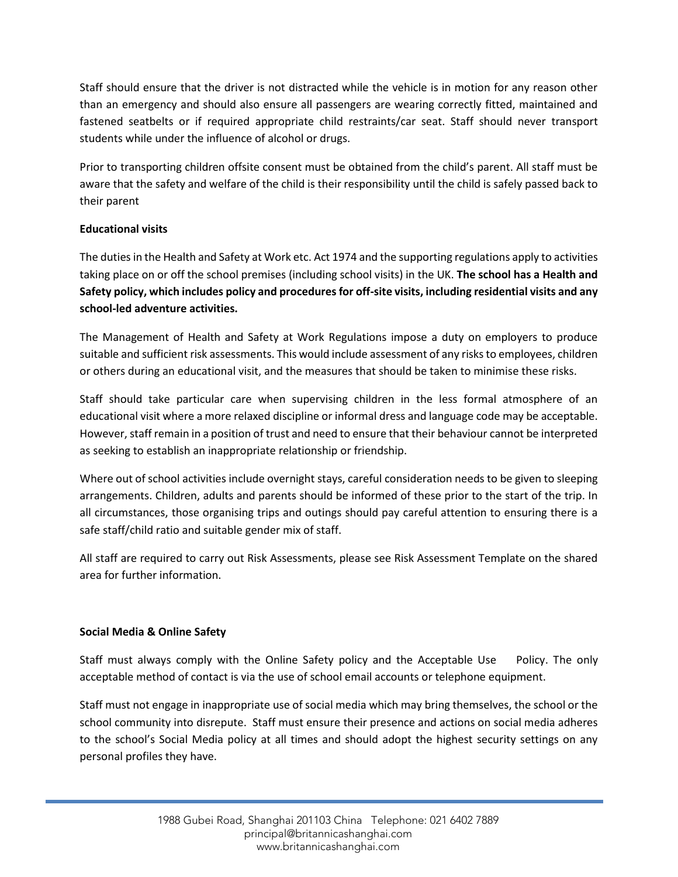Staff should ensure that the driver is not distracted while the vehicle is in motion for any reason other than an emergency and should also ensure all passengers are wearing correctly fitted, maintained and fastened seatbelts or if required appropriate child restraints/car seat. Staff should never transport students while under the influence of alcohol or drugs.

Prior to transporting children offsite consent must be obtained from the child's parent. All staff must be aware that the safety and welfare of the child is their responsibility until the child is safely passed back to their parent

## **Educational visits**

The duties in the Health and Safety at Work etc. Act 1974 and the supporting regulations apply to activities taking place on or off the school premises (including school visits) in the UK. **The school has a Health and Safety policy, which includes policy and procedures for off-site visits, including residential visits and any school-led adventure activities.**

The Management of Health and Safety at Work Regulations impose a duty on employers to produce suitable and sufficient risk assessments. This would include assessment of any risks to employees, children or others during an educational visit, and the measures that should be taken to minimise these risks.

Staff should take particular care when supervising children in the less formal atmosphere of an educational visit where a more relaxed discipline or informal dress and language code may be acceptable. However, staff remain in a position of trust and need to ensure that their behaviour cannot be interpreted as seeking to establish an inappropriate relationship or friendship.

Where out of school activities include overnight stays, careful consideration needs to be given to sleeping arrangements. Children, adults and parents should be informed of these prior to the start of the trip. In all circumstances, those organising trips and outings should pay careful attention to ensuring there is a safe staff/child ratio and suitable gender mix of staff.

All staff are required to carry out Risk Assessments, please see Risk Assessment Template on the shared area for further information.

## **Social Media & Online Safety**

Staff must always comply with the Online Safety policy and the Acceptable Use Policy. The only acceptable method of contact is via the use of school email accounts or telephone equipment.

Staff must not engage in inappropriate use of social media which may bring themselves, the school or the school community into disrepute. Staff must ensure their presence and actions on social media adheres to the school's Social Media policy at all times and should adopt the highest security settings on any personal profiles they have.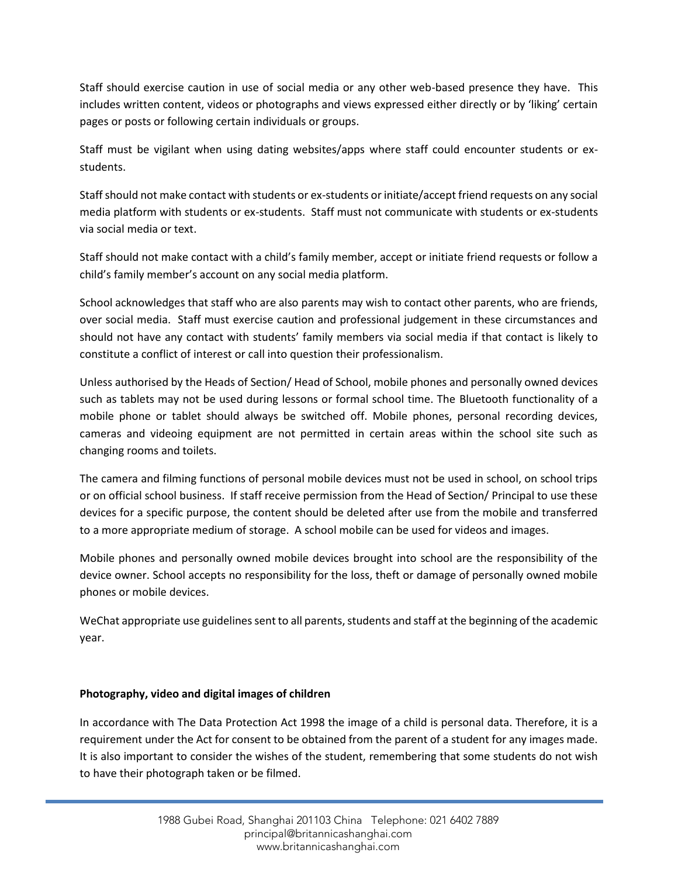Staff should exercise caution in use of social media or any other web-based presence they have. This includes written content, videos or photographs and views expressed either directly or by 'liking' certain pages or posts or following certain individuals or groups.

Staff must be vigilant when using dating websites/apps where staff could encounter students or exstudents.

Staff should not make contact with students or ex-students or initiate/accept friend requests on any social media platform with students or ex-students. Staff must not communicate with students or ex-students via social media or text.

Staff should not make contact with a child's family member, accept or initiate friend requests or follow a child's family member's account on any social media platform.

School acknowledges that staff who are also parents may wish to contact other parents, who are friends, over social media. Staff must exercise caution and professional judgement in these circumstances and should not have any contact with students' family members via social media if that contact is likely to constitute a conflict of interest or call into question their professionalism.

Unless authorised by the Heads of Section/ Head of School, mobile phones and personally owned devices such as tablets may not be used during lessons or formal school time. The Bluetooth functionality of a mobile phone or tablet should always be switched off. Mobile phones, personal recording devices, cameras and videoing equipment are not permitted in certain areas within the school site such as changing rooms and toilets.

The camera and filming functions of personal mobile devices must not be used in school, on school trips or on official school business. If staff receive permission from the Head of Section/ Principal to use these devices for a specific purpose, the content should be deleted after use from the mobile and transferred to a more appropriate medium of storage. A school mobile can be used for videos and images.

Mobile phones and personally owned mobile devices brought into school are the responsibility of the device owner. School accepts no responsibility for the loss, theft or damage of personally owned mobile phones or mobile devices.

WeChat appropriate use guidelines sent to all parents, students and staff at the beginning of the academic year.

## **Photography, video and digital images of children**

In accordance with The Data Protection Act 1998 the image of a child is personal data. Therefore, it is a requirement under the Act for consent to be obtained from the parent of a student for any images made. It is also important to consider the wishes of the student, remembering that some students do not wish to have their photograph taken or be filmed.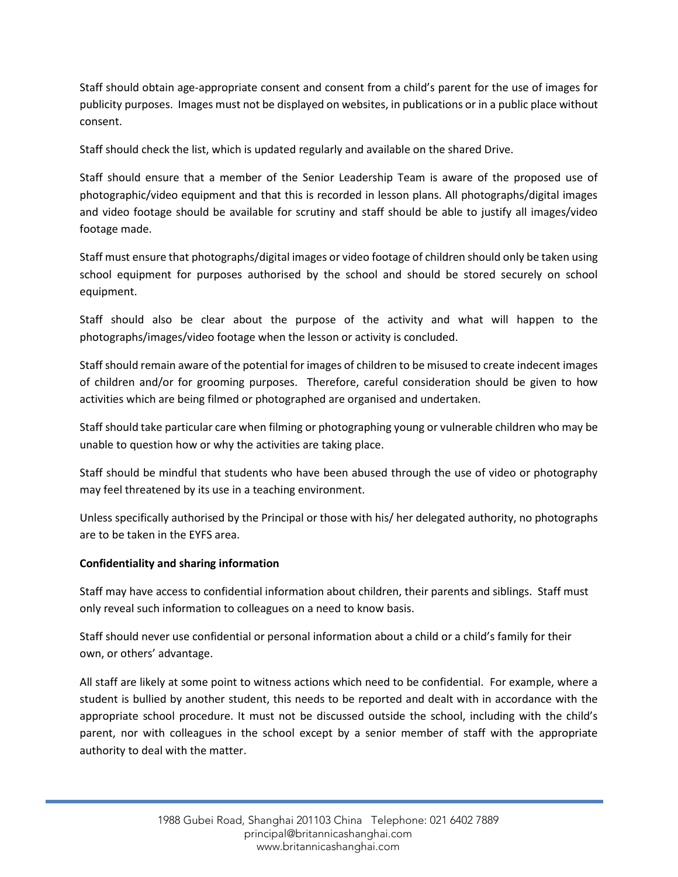Staff should obtain age-appropriate consent and consent from a child's parent for the use of images for publicity purposes. Images must not be displayed on websites, in publications or in a public place without consent.

Staff should check the list, which is updated regularly and available on the shared Drive.

Staff should ensure that a member of the Senior Leadership Team is aware of the proposed use of photographic/video equipment and that this is recorded in lesson plans. All photographs/digital images and video footage should be available for scrutiny and staff should be able to justify all images/video footage made.

Staff must ensure that photographs/digital images or video footage of children should only be taken using school equipment for purposes authorised by the school and should be stored securely on school equipment.

Staff should also be clear about the purpose of the activity and what will happen to the photographs/images/video footage when the lesson or activity is concluded.

Staff should remain aware of the potential for images of children to be misused to create indecent images of children and/or for grooming purposes. Therefore, careful consideration should be given to how activities which are being filmed or photographed are organised and undertaken.

Staff should take particular care when filming or photographing young or vulnerable children who may be unable to question how or why the activities are taking place.

Staff should be mindful that students who have been abused through the use of video or photography may feel threatened by its use in a teaching environment.

Unless specifically authorised by the Principal or those with his/ her delegated authority, no photographs are to be taken in the EYFS area.

## **Confidentiality and sharing information**

Staff may have access to confidential information about children, their parents and siblings. Staff must only reveal such information to colleagues on a need to know basis.

Staff should never use confidential or personal information about a child or a child's family for their own, or others' advantage.

All staff are likely at some point to witness actions which need to be confidential. For example, where a student is bullied by another student, this needs to be reported and dealt with in accordance with the appropriate school procedure. It must not be discussed outside the school, including with the child's parent, nor with colleagues in the school except by a senior member of staff with the appropriate authority to deal with the matter.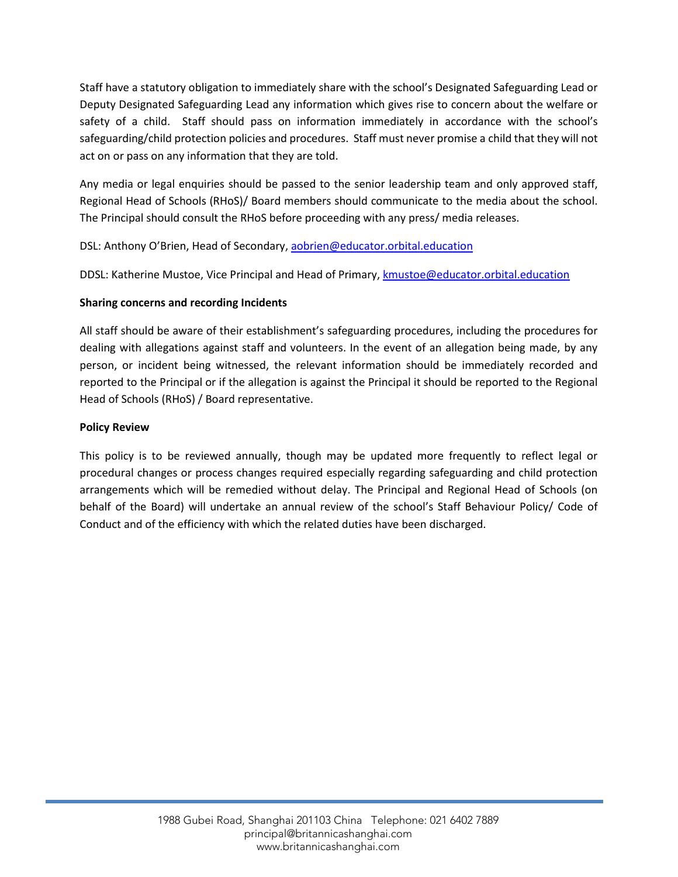Staff have a statutory obligation to immediately share with the school's Designated Safeguarding Lead or Deputy Designated Safeguarding Lead any information which gives rise to concern about the welfare or safety of a child. Staff should pass on information immediately in accordance with the school's safeguarding/child protection policies and procedures. Staff must never promise a child that they will not act on or pass on any information that they are told.

Any media or legal enquiries should be passed to the senior leadership team and only approved staff, Regional Head of Schools (RHoS)/ Board members should communicate to the media about the school. The Principal should consult the RHoS before proceeding with any press/ media releases.

DSL: Anthony O'Brien, Head of Secondary[, aobrien@educator.orbital.education](mailto:aobrien@educator.orbital.education)

DDSL: Katherine Mustoe, Vice Principal and Head of Primary[, kmustoe@educator.orbital.education](mailto:kmustoe@educator.orbital.education)

## **Sharing concerns and recording Incidents**

All staff should be aware of their establishment's safeguarding procedures, including the procedures for dealing with allegations against staff and volunteers. In the event of an allegation being made, by any person, or incident being witnessed, the relevant information should be immediately recorded and reported to the Principal or if the allegation is against the Principal it should be reported to the Regional Head of Schools (RHoS) / Board representative.

## **Policy Review**

This policy is to be reviewed annually, though may be updated more frequently to reflect legal or procedural changes or process changes required especially regarding safeguarding and child protection arrangements which will be remedied without delay. The Principal and Regional Head of Schools (on behalf of the Board) will undertake an annual review of the school's Staff Behaviour Policy/ Code of Conduct and of the efficiency with which the related duties have been discharged.